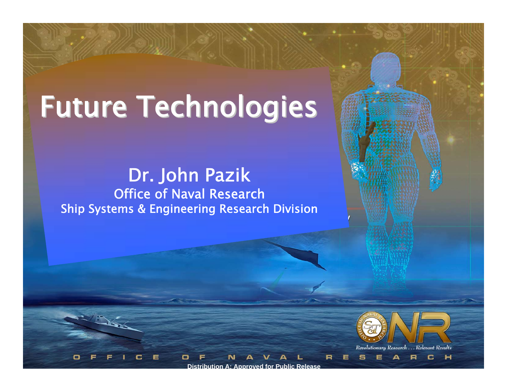# Future Technologies

Dr. John Pazik Ship Systems & Engineering Research Division Office of Naval Research



**Distribution A: Approved for Public Release <sup>1</sup> Distribution A: Approved for Public Release**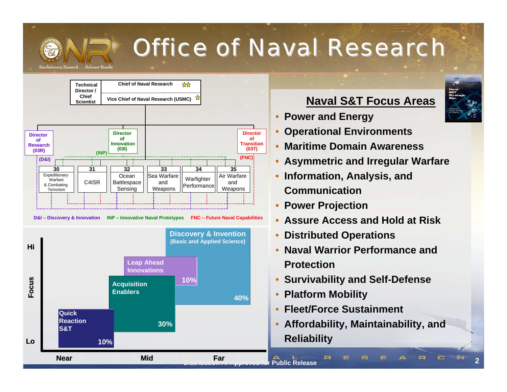

# *Office of Naval Research Office of Naval Research*



#### **Naval S&T Focus Areas**

- **Power and Energy**
- **Operational Environments**
- **Maritime Domain Awareness**
- **Asymmetric and Irregular Warfare**
- **Information, Analysis, and Communication**
- **Power Projection**
- **Assure Access and Hold at Risk**
- **Distributed Operations**
- **Naval Warrior Performance and Protection**
- **Survivability and Self-Defense**
- **Platform Mobility**
- **Fleet/Force Sustainment**
- **Affordability, Maintainability, and Reliability**

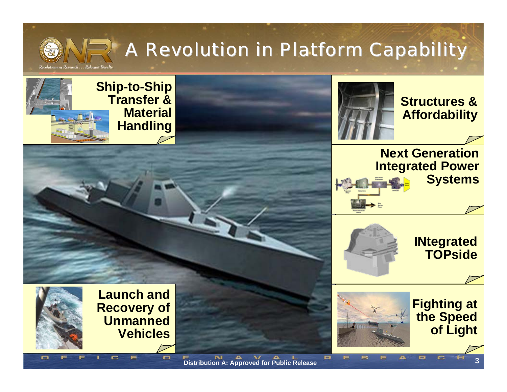

## *A Revolution in Platform Capability A Revolution in Platform Capability*

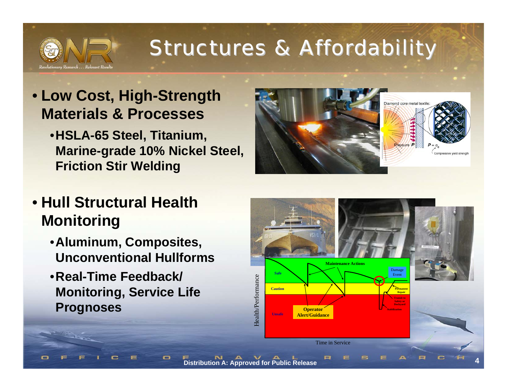

## *Structures & Affordability Structures & Affordability*

### • **Low Cost, High-Strength Materials & Processes**

• **HSLA-65 Steel, Titanium, Marine-grade 10% Nickel Steel, Friction Stir Welding**



### • **Hull Structural Health Monitoring**

- **Aluminum, Composites, Unconventional Hullforms**
- **Real-Time Feedback/ Monitoring, Service Life Prognoses**

o

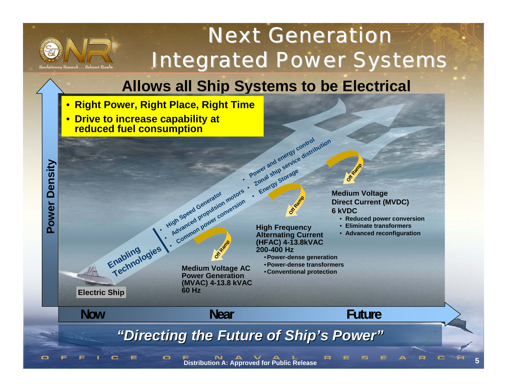

**Power Density**

Power

**Density** 

## *Next Generation Next GenerationIntegrated Power Systems Integrated Power Systems*

### **Allows all Ship Systems to be Electrical**

• **Right Power, Right Place, Right Time**

•

 $\mathbf{\square}$ 

• **Drive to increase capability at reduced fuel consumption**

**Enabling Technologies**

**Medium Voltage Direct Current (MVDC) 6 kVDC**

**Of**  $x + y = 0$ 

- **Reduced power conversion**
- •**Eliminate transformers**
- **Advanced reconfiguration**

**Now**

**DDG 1000Electric Ship**

**Medium Voltage AC • Conventional protection**<br>**Power Generation • Conventional protection (MVAC) 4-13.8 kVAC 60 Hz**

**Of**  $\frac{d}{dx}$ 

**High Speed Generator** 

**High Speed Generator**

**Advanced Generator motors Example 19 and 19 and 19 and 19 and 19 and 19 and 19 and 19 and 19 and 19 and 19 and 19 and 19 and 19 and 19 and 19 and 19 and 19 and 19 and 19 and 19 and 19 and 19 and 19 and 19 and 19 and 19 and 19 and 19 and 19 and 19** 

•

**Alternating Current (HFAC) 4-13.8kVAC 200-400 Hz**•**Power-dense generation** •**Power-dense transformers**

**Off Ramp**

**High Frequency** 

**Power and energy control Zonal ship service distribution**<br>**Power and energy control pution** 

**Provident Storage**<br> **Lonal Storage**<br> **Energy Storage** 

 **Near Future** *"Directing the Future of Ship's Power"* 

**Distribution A: Approved for Public Release <sup>5</sup>**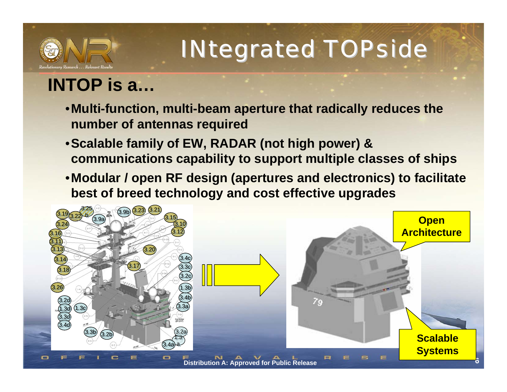

# *INtegrated INtegrated TOPside TOPside*

## **INTOP is a…**

- **Multi-function, multi-beam aperture that radically reduces the number of antennas required**
- **Scalable family of EW, RADAR (not high power) & communications capability to support multiple classes of ships**
- **Modular / open RF design (apertures and electronics) to facilitate best of breed technology and cost effective upgrades**

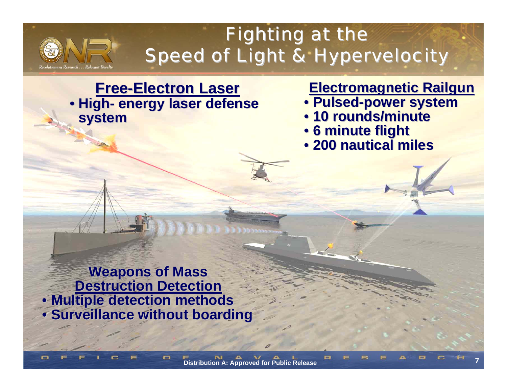

 $\blacksquare$ 

## *Fighting at the Fighting at the Speed of Light & Hypervelocity Speed of Light & Hypervelocity*

#### **Free-Electron Laser Electron Laser** •**High-energy laser defense energy laser defense system**

#### **Electromagnetic Electromagnetic Railgun Railgun**

- **Pulsed-power system power system**
- **10 rounds/minute 10 rounds/minute**
- **6 minute flight 6 minute flight**
- **200 nautical miles 200 nautical miles**

**Weapons of Mass Destruction Detection Destruction Detection** • **Multiple detection methods Multiple detection methods • Surveillance without boarding**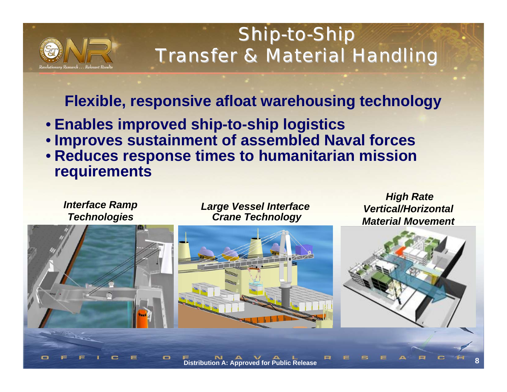

## *Ship-to-Ship Transfer & Material Handling Transfer & Material Handling*

### **Flexible, responsive afloat warehousing technology Flexible, responsive afloat warehousing technology**

- **Enables improved ship-to-ship logistics**
- **Improves sustainment of assembled Naval forces**
- **Reduces response times to humanitarian mission requirements**



*Large Vessel Interface Crane Technology*



*High Rate Vertical/Horizontal Material Movement* 

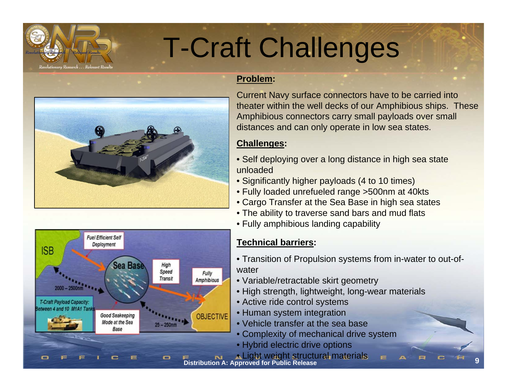

# T-Craft Challenges





#### **Problem:**

Current Navy surface connectors have to be carried into theater within the well decks of our Amphibious ships. These Amphibious connectors carry small payloads over small distances and can only operate in low sea states.

#### **Challenges:**

- Self deploying over a long distance in high sea state unloaded
- Significantly higher payloads (4 to 10 times)
- Fully loaded unrefueled range >500nm at 40kts
- Cargo Transfer at the Sea Base in high sea states
- The ability to traverse sand bars and mud flats
- Fully amphibious landing capability

#### **Technical barriers:**

• Transition of Propulsion systems from in-water to out-ofwater

**9**

- Variable/retractable skirt geometry
- High strength, lightweight, long-wear materials
- Active ride control systems
- Human system integration
- Vehicle transfer at the sea base
- Complexity of mechanical drive system
- Hybrid electric drive options

**Distribution A: Approved for Public Release** • Light weight structural materials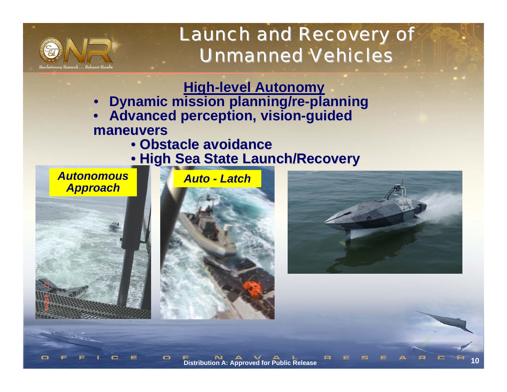

*Launch and Recovery of Launch and Recovery of Unmanned Vehicles Unmanned Vehicles*

**High-level Autonomy** 

- **Dynamic mission planning/re-planning**
- **Advanced perception, vision-guided maneuvers maneuvers**
	- **Obstacle avoidance Obstacle avoidance**
	- **High Sea State Launch/Recovery High Sea State Launch/Recovery**

#### *AutonomousApproach*



 $\mathbf{\square}$ 



**Distribution A: Approved for Public Release**